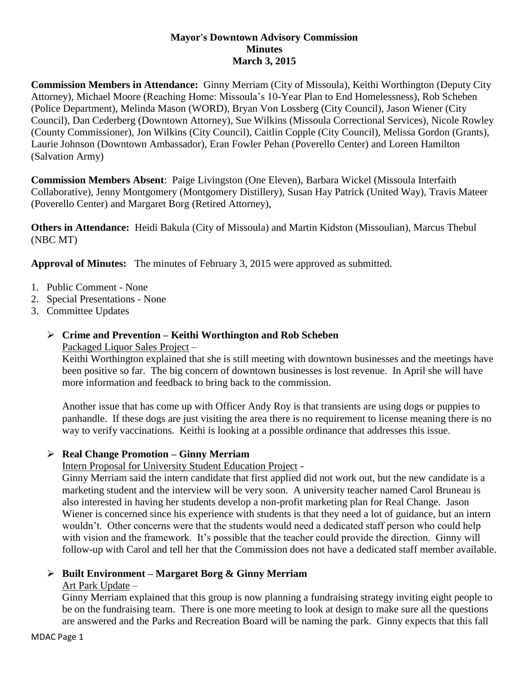## **Mayor's Downtown Advisory Commission Minutes March 3, 2015**

**Commission Members in Attendance:** Ginny Merriam (City of Missoula), Keithi Worthington (Deputy City Attorney), Michael Moore (Reaching Home: Missoula's 10-Year Plan to End Homelessness), Rob Scheben (Police Department), Melinda Mason (WORD), Bryan Von Lossberg (City Council), Jason Wiener (City Council), Dan Cederberg (Downtown Attorney), Sue Wilkins (Missoula Correctional Services), Nicole Rowley (County Commissioner), Jon Wilkins (City Council), Caitlin Copple (City Council), Melissa Gordon (Grants), Laurie Johnson (Downtown Ambassador), Eran Fowler Pehan (Poverello Center) and Loreen Hamilton (Salvation Army)

**Commission Members Absent**: Paige Livingston (One Eleven), Barbara Wickel (Missoula Interfaith Collaborative), Jenny Montgomery (Montgomery Distillery), Susan Hay Patrick (United Way), Travis Mateer (Poverello Center) and Margaret Borg (Retired Attorney),

**Others in Attendance:** Heidi Bakula (City of Missoula) and Martin Kidston (Missoulian), Marcus Thebul (NBC MT)

**Approval of Minutes:** The minutes of February 3, 2015 were approved as submitted.

- 1. Public Comment None
- 2. Special Presentations None
- 3. Committee Updates
	- **Crime and Prevention – Keithi Worthington and Rob Scheben** Packaged Liquor Sales Project –

Keithi Worthington explained that she is still meeting with downtown businesses and the meetings have been positive so far. The big concern of downtown businesses is lost revenue. In April she will have more information and feedback to bring back to the commission.

Another issue that has come up with Officer Andy Roy is that transients are using dogs or puppies to panhandle. If these dogs are just visiting the area there is no requirement to license meaning there is no way to verify vaccinations. Keithi is looking at a possible ordinance that addresses this issue.

# **Real Change Promotion – Ginny Merriam**

Intern Proposal for University Student Education Project -

Ginny Merriam said the intern candidate that first applied did not work out, but the new candidate is a marketing student and the interview will be very soon. A university teacher named Carol Bruneau is also interested in having her students develop a non-profit marketing plan for Real Change. Jason Wiener is concerned since his experience with students is that they need a lot of guidance, but an intern wouldn't. Other concerns were that the students would need a dedicated staff person who could help with vision and the framework. It's possible that the teacher could provide the direction. Ginny will follow-up with Carol and tell her that the Commission does not have a dedicated staff member available.

# **Built Environment – Margaret Borg & Ginny Merriam**

Art Park Update –

Ginny Merriam explained that this group is now planning a fundraising strategy inviting eight people to be on the fundraising team. There is one more meeting to look at design to make sure all the questions are answered and the Parks and Recreation Board will be naming the park. Ginny expects that this fall